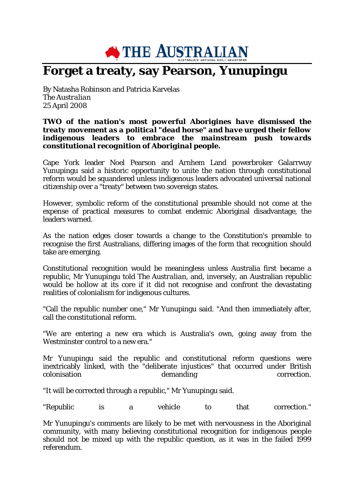

## **Forget a treaty, say Pearson, Yunupingu**

By Natasha Robinson and Patricia Karvelas *The Australian* 25 April 2008

## *TWO of the nation's most powerful Aborigines have dismissed the treaty movement as a political "dead horse" and have urged their fellow indigenous leaders to embrace the mainstream push towards constitutional recognition of Aboriginal people.*

Cape York leader Noel Pearson and Arnhem Land powerbroker Galarrwuy Yunupingu said a historic opportunity to unite the nation through constitutional reform would be squandered unless indigenous leaders advocated universal national citizenship over a "treaty" between two sovereign states.

However, symbolic reform of the constitutional preamble should not come at the expense of practical measures to combat endemic Aboriginal disadvantage, the leaders warned.

As the nation edges closer towards a change to the Constitution's preamble to recognise the first Australians, differing images of the form that recognition should take are emerging.

Constitutional recognition would be meaningless unless Australia first became a republic, Mr Yunupingu told *The Australian*, and, inversely, an Australian republic would be hollow at its core if it did not recognise and confront the devastating realities of colonialism for indigenous cultures.

"Call the republic number one," Mr Yunupingu said. "And then immediately after, call the constitutional reform.

"We are entering a new era which is Australia's own, going away from the Westminster control to a new era."

Mr Yunupingu said the republic and constitutional reform questions were inextricably linked, with the "deliberate injustices" that occurred under British demanding

"It will be corrected through a republic," Mr Yunupingu said.

"Republic is a vehicle to that correction."

Mr Yunupingu's comments are likely to be met with nervousness in the Aboriginal community, with many believing constitutional recognition for indigenous people should not be mixed up with the republic question, as it was in the failed 1999 referendum.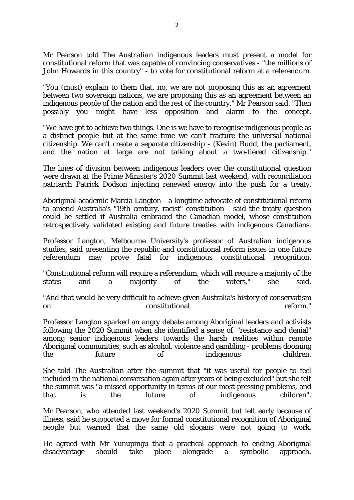Mr Pearson told *The Australian* indigenous leaders must present a model for constitutional reform that was capable of convincing conservatives - "the millions of John Howards in this country" - to vote for constitutional reform at a referendum.

"You (must) explain to them that, no, we are not proposing this as an agreement between two sovereign nations, we are proposing this as an agreement between an indigenous people of the nation and the rest of the country," Mr Pearson said. "Then possibly you might have less opposition and alarm to the concept.

"We have got to achieve two things. One is we have to recognise indigenous people as a distinct people but at the same time we can't fracture the universal national citizenship. We can't create a separate citizenship - (Kevin) Rudd, the parliament, and the nation at large are not talking about a two-tiered citizenship."

The lines of division between indigenous leaders over the constitutional question were drawn at the Prime Minister's 2020 Summit last weekend, with reconciliation patriarch Patrick Dodson injecting renewed energy into the push for a treaty.

Aboriginal academic Marcia Langton - a longtime advocate of constitutional reform to amend Australia's "19th century, racist" constitution - said the treaty question could be settled if Australia embraced the Canadian model, whose constitution retrospectively validated existing and future treaties with indigenous Canadians.

Professor Langton, Melbourne University's professor of Australian indigenous studies, said presenting the republic and constitutional reform issues in one future referendum may prove fatal for indigenous constitutional recognition.

"Constitutional reform will require a referendum, which will require a majority of the states and a majority of the voters," she said.

"And that would be very difficult to achieve given Australia's history of conservatism on constitutional reform."

Professor Langton sparked an angry debate among Aboriginal leaders and activists following the 2020 Summit when she identified a sense of "resistance and denial" among senior indigenous leaders towards the harsh realities within remote Aboriginal communities, such as alcohol, violence and gambling - problems dooming the future of indigenous children.

She told *The Australian* after the summit that "it was useful for people to feel included in the national conversation again after years of being excluded" but she felt the summit was "a missed opportunity in terms of our most pressing problems, and that is the future of indigenous children".

Mr Pearson, who attended last weekend's 2020 Summit but left early because of illness, said he supported a move for formal constitutional recognition of Aboriginal people but warned that the same old slogans were not going to work.

He agreed with Mr Yunupingu that a practical approach to ending Aboriginal disadvantage should take place alongside a symbolic approach.